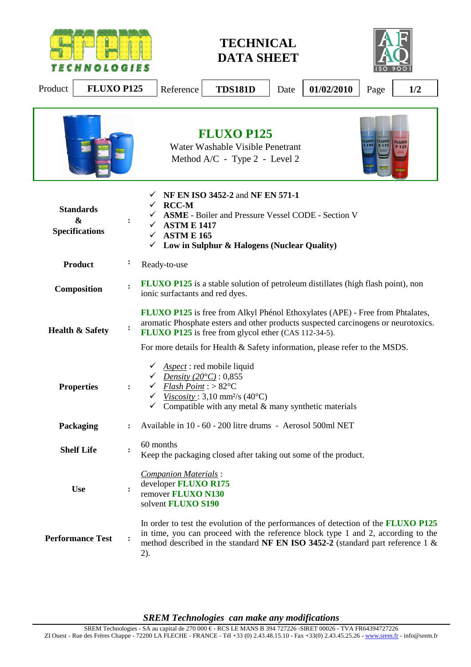

**TECHNICAL DATA SHEET** 



| Product                    | <b>FLUXO P125</b>                                                                                                                                                                                                                                                                |                                                                                                                                                                                                                                                                                                                          |                                                                                                                                                                                                                                                     | Reference                                                                                | <b>TDS181D</b>                                                                                                                                                                                                                                                    | Date | 01/02/2010 | Page | 1/2 |
|----------------------------|----------------------------------------------------------------------------------------------------------------------------------------------------------------------------------------------------------------------------------------------------------------------------------|--------------------------------------------------------------------------------------------------------------------------------------------------------------------------------------------------------------------------------------------------------------------------------------------------------------------------|-----------------------------------------------------------------------------------------------------------------------------------------------------------------------------------------------------------------------------------------------------|------------------------------------------------------------------------------------------|-------------------------------------------------------------------------------------------------------------------------------------------------------------------------------------------------------------------------------------------------------------------|------|------------|------|-----|
|                            |                                                                                                                                                                                                                                                                                  |                                                                                                                                                                                                                                                                                                                          | <b>FLUXO P125</b><br>LUXO<br><b>FLUXO</b><br><b>FLUX</b><br>Water Washable Visible Penetrant<br>5190<br>R 175<br>P 125<br>Method A/C - Type 2 - Level 2                                                                                             |                                                                                          |                                                                                                                                                                                                                                                                   |      |            |      |     |
|                            | NF EN ISO 3452-2 and NF EN 571-1<br>$\times$ RCC-M<br><b>Standards</b><br><b>ASME</b> - Boiler and Pressure Vessel CODE - Section V<br>$\boldsymbol{\&}$<br><b>ASTM E 1417</b><br><b>Specifications</b><br><b>ASTM E 165</b><br>✓<br>Low in Sulphur & Halogens (Nuclear Quality) |                                                                                                                                                                                                                                                                                                                          |                                                                                                                                                                                                                                                     |                                                                                          |                                                                                                                                                                                                                                                                   |      |            |      |     |
| <b>Product</b>             |                                                                                                                                                                                                                                                                                  |                                                                                                                                                                                                                                                                                                                          |                                                                                                                                                                                                                                                     | Ready-to-use                                                                             |                                                                                                                                                                                                                                                                   |      |            |      |     |
| Composition                |                                                                                                                                                                                                                                                                                  | <b>FLUXO P125</b> is a stable solution of petroleum distillates (high flash point), non<br>ionic surfactants and red dyes.                                                                                                                                                                                               |                                                                                                                                                                                                                                                     |                                                                                          |                                                                                                                                                                                                                                                                   |      |            |      |     |
| <b>Health &amp; Safety</b> |                                                                                                                                                                                                                                                                                  | <b>FLUXO P125</b> is free from Alkyl Phénol Ethoxylates (APE) - Free from Phtalates,<br>aromatic Phosphate esters and other products suspected carcinogens or neurotoxics.<br><b>FLUXO P125</b> is free from glycol ether (CAS 112-34-5).<br>For more details for Health & Safety information, please refer to the MSDS. |                                                                                                                                                                                                                                                     |                                                                                          |                                                                                                                                                                                                                                                                   |      |            |      |     |
| <b>Properties</b>          |                                                                                                                                                                                                                                                                                  |                                                                                                                                                                                                                                                                                                                          | <i>Aspect</i> : red mobile liquid<br>✓<br>Density $(20^{\circ}C):0,855$<br>Flash Point: $>82^{\circ}$ C<br>✓<br>Viscosity: 3,10 mm <sup>2</sup> /s (40 $^{\circ}$ C)<br>✓<br>Compatible with any metal $&$ many synthetic materials<br>$\checkmark$ |                                                                                          |                                                                                                                                                                                                                                                                   |      |            |      |     |
| Packaging                  |                                                                                                                                                                                                                                                                                  |                                                                                                                                                                                                                                                                                                                          |                                                                                                                                                                                                                                                     |                                                                                          | Available in 10 - 60 - 200 litre drums - Aerosol 500ml NET                                                                                                                                                                                                        |      |            |      |     |
| <b>Shelf Life</b>          |                                                                                                                                                                                                                                                                                  |                                                                                                                                                                                                                                                                                                                          |                                                                                                                                                                                                                                                     | 60 months                                                                                | Keep the packaging closed after taking out some of the product.                                                                                                                                                                                                   |      |            |      |     |
| <b>Use</b>                 |                                                                                                                                                                                                                                                                                  | $\ddot{\phantom{a}}$                                                                                                                                                                                                                                                                                                     |                                                                                                                                                                                                                                                     | Companion Materials:<br>developer FLUXO R175<br>remover FLUXO N130<br>solvent FLUXO S190 |                                                                                                                                                                                                                                                                   |      |            |      |     |
| <b>Performance Test</b>    |                                                                                                                                                                                                                                                                                  |                                                                                                                                                                                                                                                                                                                          | 2).                                                                                                                                                                                                                                                 |                                                                                          | In order to test the evolution of the performances of detection of the <b>FLUXO P125</b><br>in time, you can proceed with the reference block type 1 and 2, according to the<br>method described in the standard NF EN ISO 3452-2 (standard part reference 1 $\&$ |      |            |      |     |

*SREM Technologies can make any modifications*